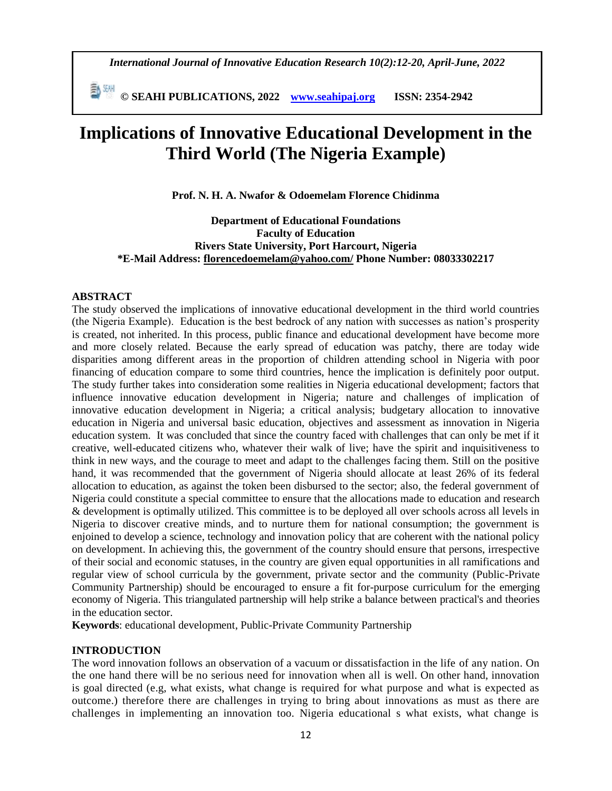*International Journal of Innovative Education Research 10(2):12-20, April-June, 2022*

 **© SEAHI PUBLICATIONS, 2022 [www.seahipaj.org](http://www.seahipaj.org/) ISSN: 2354-2942**

# **Implications of Innovative Educational Development in the Third World (The Nigeria Example)**

**Prof. N. H. A. Nwafor & Odoemelam Florence Chidinma**

**Department of Educational Foundations Faculty of Education Rivers State University, Port Harcourt, Nigeria \*E-Mail Address: [florencedoemelam@yahoo.com/](mailto:florencedoemelam@yahoo.com/) Phone Number: 08033302217** 

#### **ABSTRACT**

The study observed the implications of innovative educational development in the third world countries (the Nigeria Example). Education is the best bedrock of any nation with successes as nation's prosperity is created, not inherited. In this process, public finance and educational development have become more and more closely related. Because the early spread of education was patchy, there are today wide disparities among different areas in the proportion of children attending school in Nigeria with poor financing of education compare to some third countries, hence the implication is definitely poor output. The study further takes into consideration some realities in Nigeria educational development; factors that influence innovative education development in Nigeria; nature and challenges of implication of innovative education development in Nigeria; a critical analysis; budgetary allocation to innovative education in Nigeria and universal basic education, objectives and assessment as innovation in Nigeria education system. It was concluded that since the country faced with challenges that can only be met if it creative, well-educated citizens who, whatever their walk of live; have the spirit and inquisitiveness to think in new ways, and the courage to meet and adapt to the challenges facing them. Still on the positive hand, it was recommended that the government of Nigeria should allocate at least 26% of its federal allocation to education, as against the token been disbursed to the sector; also, the federal government of Nigeria could constitute a special committee to ensure that the allocations made to education and research & development is optimally utilized. This committee is to be deployed all over schools across all levels in Nigeria to discover creative minds, and to nurture them for national consumption; the government is enjoined to develop a science, technology and innovation policy that are coherent with the national policy on development. In achieving this, the government of the country should ensure that persons, irrespective of their social and economic statuses, in the country are given equal opportunities in all ramifications and regular view of school curricula by the government, private sector and the community (Public-Private Community Partnership) should be encouraged to ensure a fit for-purpose curriculum for the emerging economy of Nigeria. This triangulated partnership will help strike a balance between practical's and theories in the education sector.

**Keywords**: educational development, Public-Private Community Partnership

#### **INTRODUCTION**

The word innovation follows an observation of a vacuum or dissatisfaction in the life of any nation. On the one hand there will be no serious need for innovation when all is well. On other hand, innovation is goal directed (e.g, what exists, what change is required for what purpose and what is expected as outcome.) therefore there are challenges in trying to bring about innovations as must as there are challenges in implementing an innovation too. Nigeria educational s what exists, what change is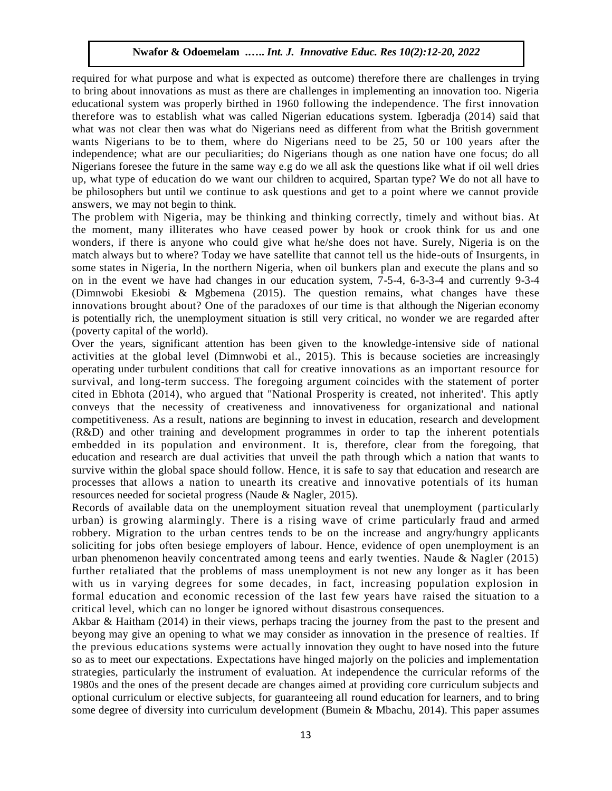required for what purpose and what is expected as outcome) therefore there are challenges in trying to bring about innovations as must as there are challenges in implementing an innovation too. Nigeria educational system was properly birthed in 1960 following the independence. The first innovation therefore was to establish what was called Nigerian educations system. Igberadja (2014) said that what was not clear then was what do Nigerians need as different from what the British government wants Nigerians to be to them, where do Nigerians need to be 25, 50 or 100 years after the independence; what are our peculiarities; do Nigerians though as one nation have one focus; do all Nigerians foresee the future in the same way e.g do we all ask the questions like what if oil well dries up, what type of education do we want our children to acquired, Spartan type? We do not all have to be philosophers but until we continue to ask questions and get to a point where we cannot provide answers, we may not begin to think.

The problem with Nigeria, may be thinking and thinking correctly, timely and without bias. At the moment, many illiterates who have ceased power by hook or crook think for us and one wonders, if there is anyone who could give what he/she does not have. Surely, Nigeria is on the match always but to where? Today we have satellite that cannot tell us the hide-outs of Insurgents, in some states in Nigeria, In the northern Nigeria, when oil bunkers plan and execute the plans and so on in the event we have had changes in our education system, 7-5-4, 6-3-3-4 and currently 9-3-4 (Dimnwobi Ekesiobi & Mgbemena (2015). The question remains, what changes have these innovations brought about? One of the paradoxes of our time is that although the Nigerian economy is potentially rich, the unemployment situation is still very critical, no wonder we are regarded after (poverty capital of the world).

Over the years, significant attention has been given to the knowledge-intensive side of national activities at the global level (Dimnwobi et al., 2015). This is because societies are increasingly operating under turbulent conditions that call for creative innovations as an important resource for survival, and long-term success. The foregoing argument coincides with the statement of porter cited in Ebhota (2014), who argued that "National Prosperity is created, not inherited'. This aptly conveys that the necessity of creativeness and innovativeness for organizational and national competitiveness. As a result, nations are beginning to invest in education, research and development (R&D) and other training and development programmes in order to tap the inherent potentials embedded in its population and environment. It is, therefore, clear from the foregoing, that education and research are dual activities that unveil the path through which a nation that wants to survive within the global space should follow. Hence, it is safe to say that education and research are processes that allows a nation to unearth its creative and innovative potentials of its human resources needed for societal progress (Naude & Nagler, 2015).

Records of available data on the unemployment situation reveal that unemployment (particularly urban) is growing alarmingly. There is a rising wave of crime particularly fraud and armed robbery. Migration to the urban centres tends to be on the increase and angry/hungry applicants soliciting for jobs often besiege employers of labour. Hence, evidence of open unemployment is an urban phenomenon heavily concentrated among teens and early twenties. Naude & Nagler (2015) further retaliated that the problems of mass unemployment is not new any longer as it has been with us in varying degrees for some decades, in fact, increasing population explosion in formal education and economic recession of the last few years have raised the situation to a critical level, which can no longer be ignored without disastrous consequences.

Akbar & Haitham (2014) in their views, perhaps tracing the journey from the past to the present and beyong may give an opening to what we may consider as innovation in the presence of realties. If the previous educations systems were actually innovation they ought to have nosed into the future so as to meet our expectations. Expectations have hinged majorly on the policies and implementation strategies, particularly the instrument of evaluation. At independence the curricular reforms of the 1980s and the ones of the present decade are changes aimed at providing core curriculum subjects and optional curriculum or elective subjects, for guaranteeing all round education for learners, and to bring some degree of diversity into curriculum development (Bumein & Mbachu, 2014). This paper assumes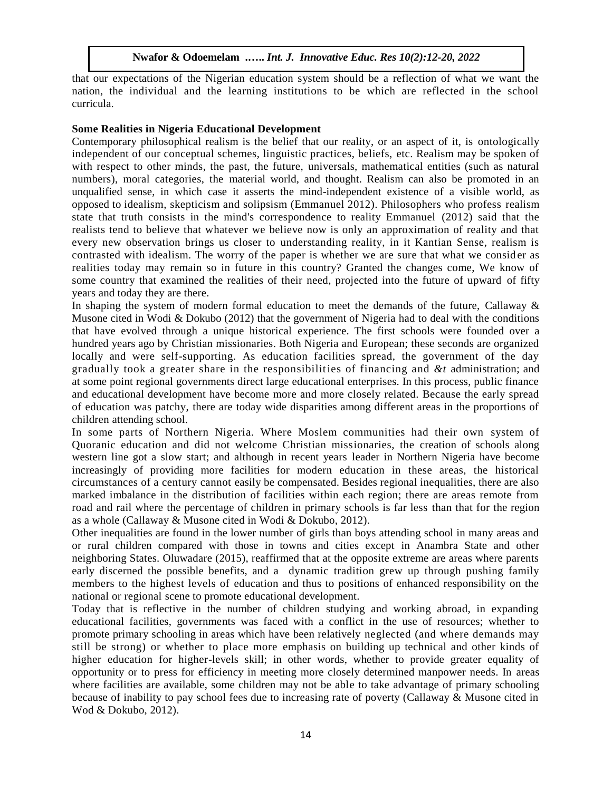that our expectations of the Nigerian education system should be a reflection of what we want the nation, the individual and the learning institutions to be which are reflected in the school curricula.

#### **Some Realities in Nigeria Educational Development**

Contemporary philosophical realism is the belief that our reality, or an aspect of it, is ontologically independent of our conceptual schemes, linguistic practices, beliefs, etc. Realism may be spoken of with respect to other minds, the past, the future, universals, mathematical entities (such as natural numbers), moral categories, the material world, and thought. Realism can also be promoted in an unqualified sense, in which case it asserts the mind-independent existence of a visible world, as opposed to idealism, skepticism and solipsism (Emmanuel 2012). Philosophers who profess realism state that truth consists in the mind's correspondence to reality Emmanuel (2012) said that the realists tend to believe that whatever we believe now is only an approximation of reality and that every new observation brings us closer to understanding reality, in it Kantian Sense, realism is contrasted with idealism. The worry of the paper is whether we are sure that what we consid er as realities today may remain so in future in this country? Granted the changes come, We know of some country that examined the realities of their need, projected into the future of upward of fifty years and today they are there.

In shaping the system of modern formal education to meet the demands of the future, Callaway  $\&$ Musone cited in Wodi & Dokubo (2012) that the government of Nigeria had to deal with the conditions that have evolved through a unique historical experience. The first schools were founded over a hundred years ago by Christian missionaries. Both Nigeria and European; these seconds are organized locally and were self-supporting. As education facilities spread, the government of the day gradually took a greater share in the responsibilities of financing and *&t* administration; and at some point regional governments direct large educational enterprises. In this process, public finance and educational development have become more and more closely related. Because the early spread of education was patchy, there are today wide disparities among different areas in the proportions of children attending school.

In some parts of Northern Nigeria. Where Moslem communities had their own system of Quoranic education and did not welcome Christian missionaries, the creation of schools along western line got a slow start; and although in recent years leader in Northern Nigeria have become increasingly of providing more facilities for modern education in these areas, the historical circumstances of a century cannot easily be compensated. Besides regional inequalities, there are also marked imbalance in the distribution of facilities within each region; there are areas remote from road and rail where the percentage of children in primary schools is far less than that for the region as a whole (Callaway & Musone cited in Wodi & Dokubo, 2012).

Other inequalities are found in the lower number of girls than boys attending school in many areas and or rural children compared with those in towns and cities except in Anambra State and other neighboring States. Oluwadare (2015), reaffirmed that at the opposite extreme are areas where parents early discerned the possible benefits, and a dynamic tradition grew up through pushing family members to the highest levels of education and thus to positions of enhanced responsibility on the national or regional scene to promote educational development.

Today that is reflective in the number of children studying and working abroad, in expanding educational facilities, governments was faced with a conflict in the use of resources; whether to promote primary schooling in areas which have been relatively neglected (and where demands may still be strong) or whether to place more emphasis on building up technical and other kinds of higher education for higher-levels skill; in other words, whether to provide greater equality of opportunity or to press for efficiency in meeting more closely determined manpower needs. In areas where facilities are available, some children may not be able to take advantage of primary schooling because of inability to pay school fees due to increasing rate of poverty (Callaway & Musone cited in Wod & Dokubo, 2012).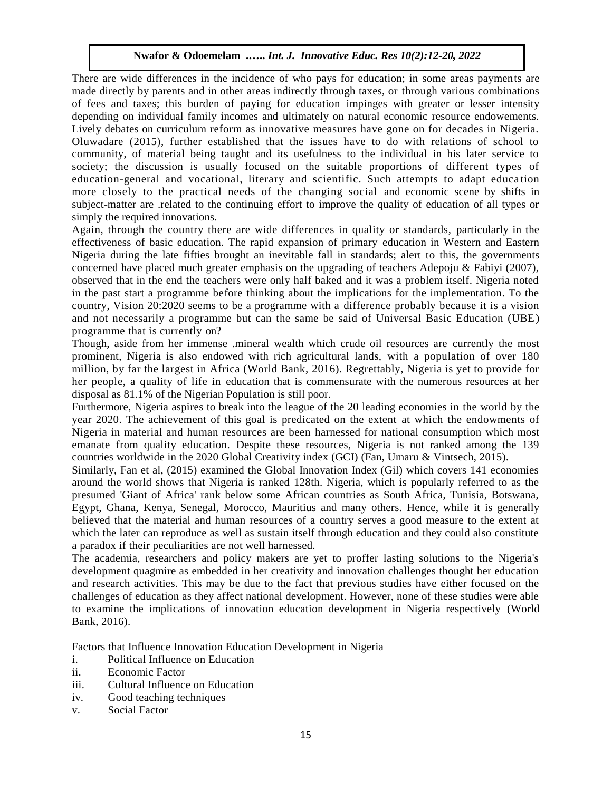There are wide differences in the incidence of who pays for education; in some areas payments are made directly by parents and in other areas indirectly through taxes, or through various combinations of fees and taxes; this burden of paying for education impinges with greater or lesser intensity depending on individual family incomes and ultimately on natural economic resource endowements. Lively debates on curriculum reform as innovative measures have gone on for decades in Nigeria. Oluwadare (2015), further established that the issues have to do with relations of school to community, of material being taught and its usefulness to the individual in his later service to society; the discussion is usually focused on the suitable proportions of different types of education-general and vocational, literary and scientific. Such attempts to adapt educa tion more closely to the practical needs of the changing social and economic scene by shifts in subject-matter are .related to the continuing effort to improve the quality of education of all types or simply the required innovations.

Again, through the country there are wide differences in quality or standards, particularly in the effectiveness of basic education. The rapid expansion of primary education in Western and Eastern Nigeria during the late fifties brought an inevitable fall in standards; alert to this, the governments concerned have placed much greater emphasis on the upgrading of teachers Adepoju & Fabiyi (2007), observed that in the end the teachers were only half baked and it was a problem itself. Nigeria noted in the past start a programme before thinking about the implications for the implementation. To the country, Vision 20:2020 seems to be a programme with a difference probably because it is a vision and not necessarily a programme but can the same be said of Universal Basic Education (UBE) programme that is currently on?

Though, aside from her immense .mineral wealth which crude oil resources are currently the most prominent, Nigeria is also endowed with rich agricultural lands, with a population of over 180 million, by far the largest in Africa (World Bank, 2016). Regrettably, Nigeria is yet to provide for her people, a quality of life in education that is commensurate with the numerous resources at her disposal as 81.1% of the Nigerian Population is still poor.

Furthermore, Nigeria aspires to break into the league of the 20 leading economies in the world by the year 2020. The achievement of this goal is predicated on the extent at which the endowments of Nigeria in material and human resources are been harnessed for national consumption which most emanate from quality education. Despite these resources, Nigeria is not ranked among the 139 countries worldwide in the 2020 Global Creativity index (GCI) (Fan, Umaru & Vintsech, 2015).

Similarly, Fan et al, (2015) examined the Global Innovation Index (Gil) which covers 141 economies around the world shows that Nigeria is ranked 128th. Nigeria, which is popularly referred to as the presumed 'Giant of Africa' rank below some African countries as South Africa, Tunisia, Botswana, Egypt, Ghana, Kenya, Senegal, Morocco, Mauritius and many others. Hence, while it is generally believed that the material and human resources of a country serves a good measure to the extent at which the later can reproduce as well as sustain itself through education and they could also constitute a paradox if their peculiarities are not well harnessed.

The academia, researchers and policy makers are yet to proffer lasting solutions to the Nigeria's development quagmire as embedded in her creativity and innovation challenges thought her education and research activities. This may be due to the fact that previous studies have either focused on the challenges of education as they affect national development. However, none of these studies were able to examine the implications of innovation education development in Nigeria respectively (World Bank, 2016).

Factors that Influence Innovation Education Development in Nigeria

- i. Political Influence on Education
- ii. Economic Factor
- iii. Cultural Influence on Education
- iv. Good teaching techniques
- v. Social Factor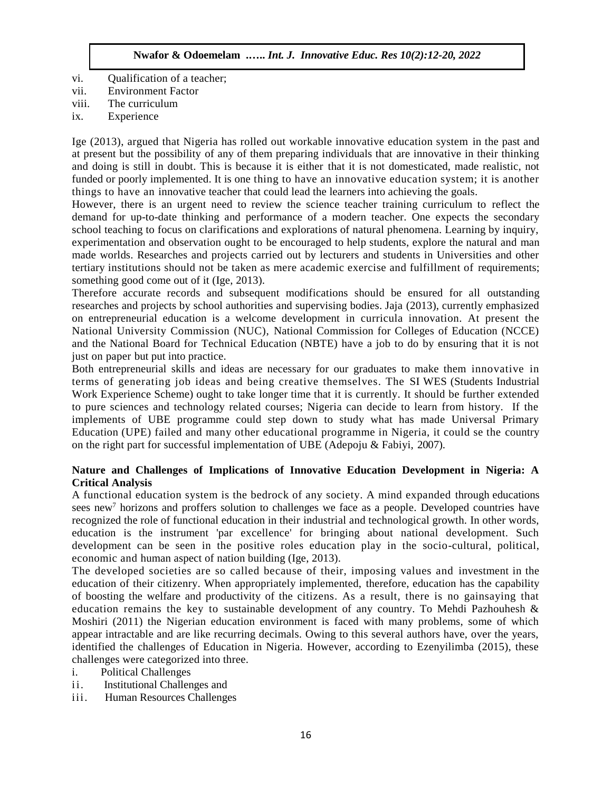- vi. Qualification of a teacher;
- vii. Environment Factor
- viii. The curriculum
- ix. Experience

Ige (2013), argued that Nigeria has rolled out workable innovative education system in the past and at present but the possibility of any of them preparing individuals that are innovative in their thinking and doing is still in doubt. This is because it is either that it is not domesticated, made realistic, not funded or poorly implemented. It is one thing to have an innovative education system; it is another things to have an innovative teacher that could lead the learners into achieving the goals.

However, there is an urgent need to review the science teacher training curriculum to reflect the demand for up-to-date thinking and performance of a modern teacher. One expects the secondary school teaching to focus on clarifications and explorations of natural phenomena. Learning by inquiry, experimentation and observation ought to be encouraged to help students, explore the natural and man made worlds. Researches and projects carried out by lecturers and students in Universities and other tertiary institutions should not be taken as mere academic exercise and fulfillment of requirements; something good come out of it (Ige, 2013).

Therefore accurate records and subsequent modifications should be ensured for all outstanding researches and projects by school authorities and supervising bodies. Jaja (2013), currently emphasized on entrepreneurial education is a welcome development in curricula innovation. At present the National University Commission (NUC), National Commission for Colleges of Education (NCCE) and the National Board for Technical Education (NBTE) have a job to do by ensuring that it is not just on paper but put into practice.

Both entrepreneurial skills and ideas are necessary for our graduates to make them innovative in terms of generating job ideas and being creative themselves. The SI WES (Students Industrial Work Experience Scheme) ought to take longer time that it is currently. It should be further extended to pure sciences and technology related courses; Nigeria can decide to learn from history. If the implements of UBE programme could step down to study what has made Universal Primary Education (UPE) failed and many other educational programme in Nigeria, it could se the country on the right part for successful implementation of UBE (Adepoju & Fabiyi, 2007).

# **Nature and Challenges of Implications of Innovative Education Development in Nigeria: A Critical Analysis**

A functional education system is the bedrock of any society. A mind expanded through educations sees new<sup>7</sup> horizons and proffers solution to challenges we face as a people. Developed countries have recognized the role of functional education in their industrial and technological growth. In other words, education is the instrument 'par excellence' for bringing about national development. Such development can be seen in the positive roles education play in the socio-cultural, political, economic and human aspect of nation building (Ige, 2013).

The developed societies are so called because of their, imposing values and investment in the education of their citizenry. When appropriately implemented, therefore, education has the capability of boosting the welfare and productivity of the citizens. As a result, there is no gainsaying that education remains the key to sustainable development of any country. To Mehdi Pazhouhesh  $\&$ Moshiri (2011) the Nigerian education environment is faced with many problems, some of which appear intractable and are like recurring decimals. Owing to this several authors have, over the years, identified the challenges of Education in Nigeria. However, according to Ezenyilimba (2015), these challenges were categorized into three.

- i. Political Challenges
- ii. Institutional Challenges and
- iii. Human Resources Challenges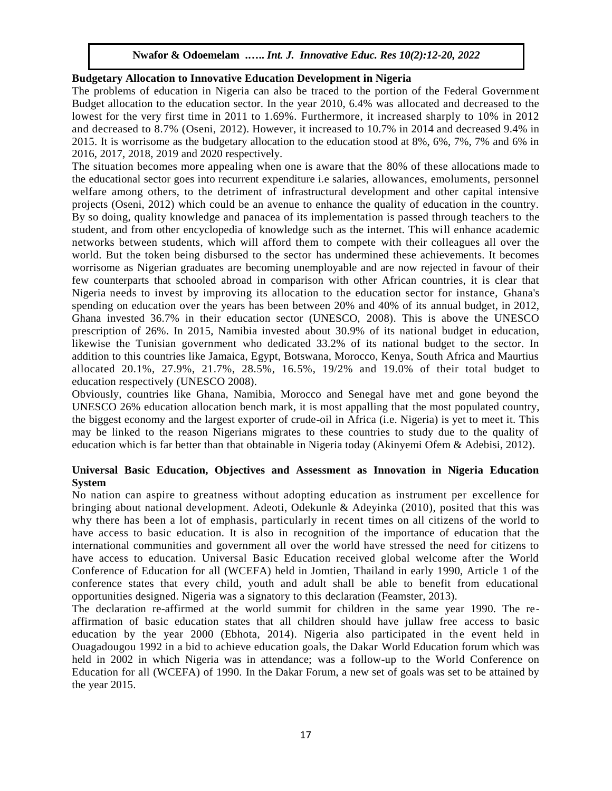# **Budgetary Allocation to Innovative Education Development in Nigeria**

The problems of education in Nigeria can also be traced to the portion of the Federal Government Budget allocation to the education sector. In the year 2010, 6.4% was allocated and decreased to the lowest for the very first time in 2011 to 1.69%. Furthermore, it increased sharply to 10% in 2012 and decreased to 8.7% (Oseni, 2012). However, it increased to 10.7% in 2014 and decreased 9.4% in 2015. It is worrisome as the budgetary allocation to the education stood at 8%, 6%, 7%, 7% and 6% in 2016, 2017, 2018, 2019 and 2020 respectively.

The situation becomes more appealing when one is aware that the 80% of these allocations made to the educational sector goes into recurrent expenditure i.e salaries, allowances, emoluments, personnel welfare among others, to the detriment of infrastructural development and other capital intensive projects (Oseni, 2012) which could be an avenue to enhance the quality of education in the country. By so doing, quality knowledge and panacea of its implementation is passed through teachers to the student, and from other encyclopedia of knowledge such as the internet. This will enhance academic networks between students, which will afford them to compete with their colleagues all over the world. But the token being disbursed to the sector has undermined these achievements. It becomes worrisome as Nigerian graduates are becoming unemployable and are now rejected in favour of their few counterparts that schooled abroad in comparison with other African countries, it is clear that Nigeria needs to invest by improving its allocation to the education sector for instance, Ghana's spending on education over the years has been between 20% and 40% of its annual budget, in 2012, Ghana invested 36.7% in their education sector (UNESCO, 2008). This is above the UNESCO prescription of 26%. In 2015, Namibia invested about 30.9% of its national budget in education, likewise the Tunisian government who dedicated 33.2% of its national budget to the sector. In addition to this countries like Jamaica, Egypt, Botswana, Morocco, Kenya, South Africa and Maurtius allocated 20.1%, 27.9%, 21.7%, 28.5%, 16.5%, 19/2% and 19.0% of their total budget to education respectively (UNESCO 2008).

Obviously, countries like Ghana, Namibia, Morocco and Senegal have met and gone beyond the UNESCO 26% education allocation bench mark, it is most appalling that the most populated country, the biggest economy and the largest exporter of crude-oil in Africa (i.e. Nigeria) is yet to meet it. This may be linked to the reason Nigerians migrates to these countries to study due to the quality of education which is far better than that obtainable in Nigeria today (Akinyemi Ofem & Adebisi, 2012).

#### **Universal Basic Education, Objectives and Assessment as Innovation in Nigeria Education System**

No nation can aspire to greatness without adopting education as instrument per excellence for bringing about national development. Adeoti, Odekunle & Adeyinka (2010), posited that this was why there has been a lot of emphasis, particularly in recent times on all citizens of the world to have access to basic education. It is also in recognition of the importance of education that the international communities and government all over the world have stressed the need for citizens to have access to education. Universal Basic Education received global welcome after the World Conference of Education for all (WCEFA) held in Jomtien, Thailand in early 1990, Article 1 of the conference states that every child, youth and adult shall be able to benefit from educational opportunities designed. Nigeria was a signatory to this declaration (Feamster, 2013).

The declaration re-affirmed at the world summit for children in the same year 1990. The reaffirmation of basic education states that all children should have jullaw free access to basic education by the year 2000 (Ebhota, 2014). Nigeria also participated in the event held in Ouagadougou 1992 in a bid to achieve education goals, the Dakar World Education forum which was held in 2002 in which Nigeria was in attendance; was a follow-up to the World Conference on Education for all (WCEFA) of 1990. In the Dakar Forum, a new set of goals was set to be attained by the year 2015.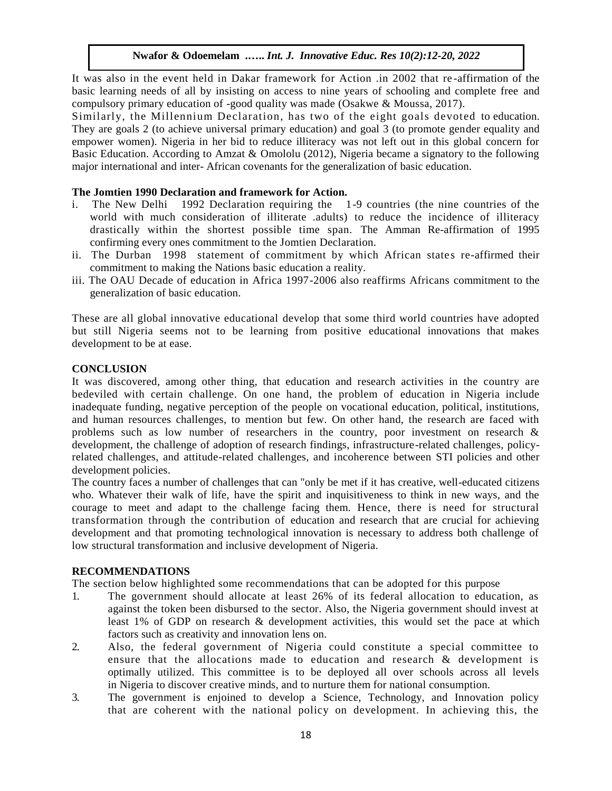It was also in the event held in Dakar framework for Action .in 2002 that re -affirmation of the basic learning needs of all by insisting on access to nine years of schooling and complete free and compulsory primary education of -good quality was made (Osakwe & Moussa, 2017).

Similarly, the Millennium Declaration, has two of the eight goals devoted to education. They are goals 2 (to achieve universal primary education) and goal 3 (to promote gender equality and empower women). Nigeria in her bid to reduce illiteracy was not left out in this global concern for Basic Education. According to Amzat & Omololu (2012), Nigeria became a signatory to the following major international and inter- African covenants for the generalization of basic education.

## **The Jomtien 1990 Declaration and framework for Action.**

- i. The New Delhi 1992 Declaration requiring the 1-9 countries (the nine countries of the world with much consideration of illiterate .adults) to reduce the incidence of illiteracy drastically within the shortest possible time span. The Amman Re-affirmation of 1995 confirming every ones commitment to the Jomtien Declaration.
- ii. The Durban 1998 statement of commitment by which African states re-affirmed their commitment to making the Nations basic education a reality.
- iii. The OAU Decade of education in Africa 1997-2006 also reaffirms Africans commitment to the generalization of basic education.

These are all global innovative educational develop that some third world countries have adopted but still Nigeria seems not to be learning from positive educational innovations that makes development to be at ease.

#### **CONCLUSION**

It was discovered, among other thing, that education and research activities in the country are bedeviled with certain challenge. On one hand, the problem of education in Nigeria include inadequate funding, negative perception of the people on vocational education, political, institutions, and human resources challenges, to mention but few. On other hand, the research are faced with problems such as low number of researchers in the country, poor investment on research & development, the challenge of adoption of research findings, infrastructure-related challenges, policyrelated challenges, and attitude-related challenges, and incoherence between STI policies and other development policies.

The country faces a number of challenges that can "only be met if it has creative, well-educated citizens who. Whatever their walk of life, have the spirit and inquisitiveness to think in new ways, and the courage to meet and adapt to the challenge facing them. Hence, there is need for structural transformation through the contribution of education and research that are crucial for achieving development and that promoting technological innovation is necessary to address both challenge of low structural transformation and inclusive development of Nigeria.

# **RECOMMENDATIONS**

The section below highlighted some recommendations that can be adopted for this purpose

- 1. The government should allocate at least 26% of its federal allocation to education, as against the token been disbursed to the sector. Also, the Nigeria government should invest at least 1% of GDP on research & development activities, this would set the pace at which factors such as creativity and innovation lens on.
- 2. Also, the federal government of Nigeria could constitute a special committee to ensure that the allocations made to education and research  $\&$  development is optimally utilized. This committee is to be deployed all over schools across all levels in Nigeria to discover creative minds, and to nurture them for national consumption.
- 3. The government is enjoined to develop a Science, Technology, and Innovation policy that are coherent with the national policy on development. In achieving this, the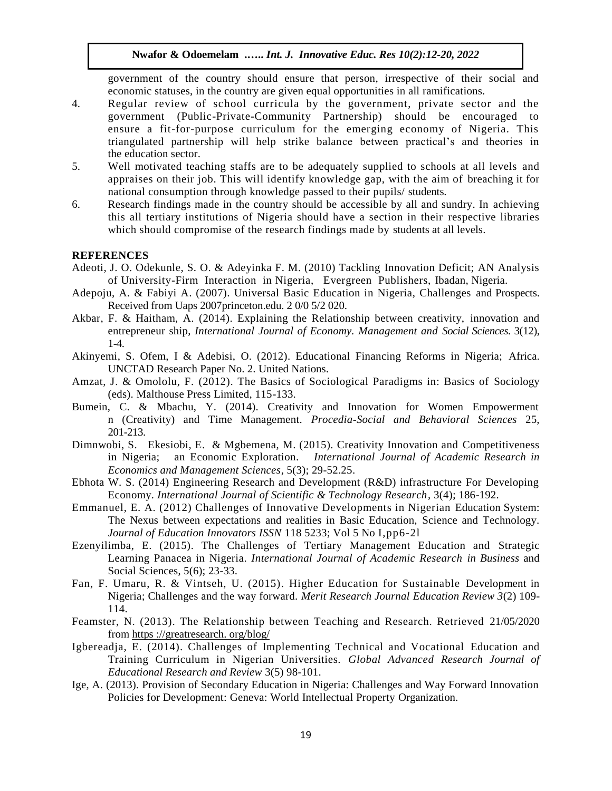government of the country should ensure that person, irrespective of their social and economic statuses, in the country are given equal opportunities in all ramifications.

- 4. Regular review of school curricula by the government, private sector and the government (Public-Private-Community Partnership) should be encouraged to ensure a fit-for-purpose curriculum for the emerging economy of Nigeria. This triangulated partnership will help strike balance between practical's and theories in the education sector.
- 5. Well motivated teaching staffs are to be adequately supplied to schools at all levels and appraises on their job. This will identify knowledge gap, with the aim of breaching it for national consumption through knowledge passed to their pupils/ students.
- 6. Research findings made in the country should be accessible by all and sundry. In achieving this all tertiary institutions of Nigeria should have a section in their respective libraries which should compromise of the research findings made by students at all levels.

#### **REFERENCES**

- Adeoti, J. O. Odekunle, S. O. & Adeyinka F. M. (2010) Tackling Innovation Deficit; AN Analysis of University-Firm Interaction in Nigeria, Evergreen Publishers, Ibadan, Nigeria.
- Adepoju, A. & Fabiyi A. (2007). Universal Basic Education in Nigeria, Challenges and Prospects. Received from Uaps 2007princeton.edu. 2 0/0 5/2 020.
- Akbar, F. & Haitham, A. (2014). Explaining the Relationship between creativity, innovation and entrepreneur ship, *International Journal of Economy. Management and Social Sciences.* 3(12), 1-4.
- Akinyemi, S. Ofem, I & Adebisi, O. (2012). Educational Financing Reforms in Nigeria; Africa. UNCTAD Research Paper No. 2. United Nations.
- Amzat, J. & Omololu, F. (2012). The Basics of Sociological Paradigms in: Basics of Sociology (eds). Malthouse Press Limited, 115-133.
- Bumein, C. & Mbachu, Y. (2014). Creativity and Innovation for Women Empowerment n (Creativity) and Time Management. *Procedia-Social and Behavioral Sciences* 25, 201-213.
- Dimnwobi, S. Ekesiobi, E. & Mgbemena, M. (2015). Creativity Innovation and Competitiveness in Nigeria; an Economic Exploration. *International Journal of Academic Research in Economics and Management Sciences*, 5(3); 29-52.25.
- Ebhota W. S. (2014) Engineering Research and Development (R&D) infrastructure For Developing Economy. *International Journal of Scientific & Technology Research*, 3(4); 186-192.
- Emmanuel, E. A. (2012) Challenges of Innovative Developments in Nigerian Education System: The Nexus between expectations and realities in Basic Education, Science and Technology. *Journal of Education Innovators ISSN* 118 5233; Vol 5 No I,pp6-2l
- Ezenyilimba, E. (2015). The Challenges of Tertiary Management Education and Strategic Learning Panacea in Nigeria. *International Journal of Academic Research in Business* and Social Sciences, 5(6); 23-33.
- Fan, F. Umaru, R. & Vintseh, U. (2015). Higher Education for Sustainable Development in Nigeria; Challenges and the way forward. *Merit Research Journal Education Review 3*(2) 109- 114.
- Feamster, N. (2013). The Relationship between Teaching and Research. Retrieved 21/05/2020 from https ://greatresearch. org/blog/
- Igbereadja, E. (2014). Challenges of Implementing Technical and Vocational Education and Training Curriculum in Nigerian Universities. *Global Advanced Research Journal of Educational Research and Review* 3(5) 98-101.
- Ige, A. (2013). Provision of Secondary Education in Nigeria: Challenges and Way Forward Innovation Policies for Development: Geneva: World Intellectual Property Organization.